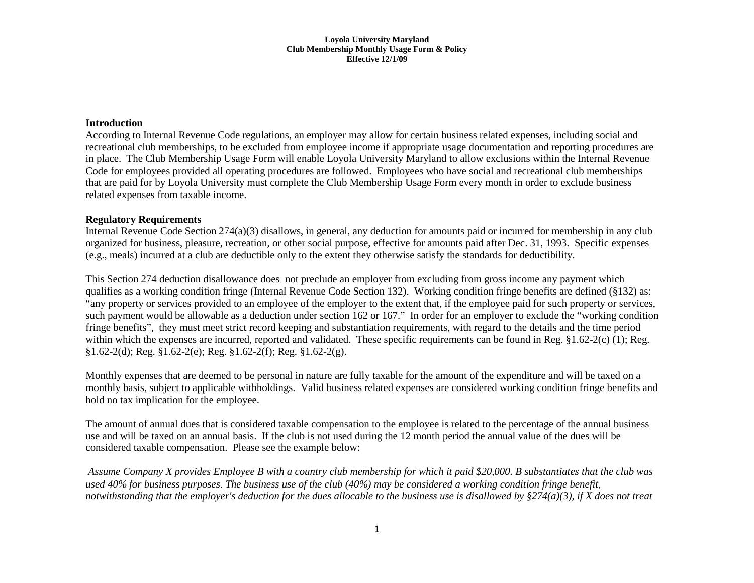#### **Loyola University Maryland Club Membership Monthly Usage Form & Policy Effective 12/1/09**

### **Introduction**

According to Internal Revenue Code regulations, an employer may allow for certain business related expenses, including social and recreational club memberships, to be excluded from employee income if appropriate usage documentation and reporting procedures are in place. The Club Membership Usage Form will enable Loyola University Maryland to allow exclusions within the Internal Revenue Code for employees provided all operating procedures are followed. Employees who have social and recreational club memberships that are paid for by Loyola University must complete the Club Membership Usage Form every month in order to exclude business related expenses from taxable income.

## **Regulatory Requirements**

Internal Revenue Code Section 274(a)(3) disallows, in general, any deduction for amounts paid or incurred for membership in any club organized for business, pleasure, recreation, or other social purpose, effective for amounts paid after Dec. 31, 1993. Specific expenses (e.g., meals) incurred at a club are deductible only to the extent they otherwise satisfy the standards for deductibility.

This Section 274 deduction disallowance does not preclude an employer from excluding from gross income any payment which qualifies as a working condition fringe (Internal Revenue Code Section 132). Working condition fringe benefits are defined (§132) as: "any property or services provided to an employee of the employer to the extent that, if the employee paid for such property or services, such payment would be allowable as a deduction under section 162 or 167." In order for an employer to exclude the "working condition fringe benefits", they must meet strict record keeping and substantiation requirements, with regard to the details and the time period within which the expenses are incurred, reported and validated. These specific requirements can be found in Reg. §1.62-2(c) (1); Reg. §1.62-2(d); Reg. §1.62-2(e); Reg. §1.62-2(f); Reg. §1.62-2(g).

Monthly expenses that are deemed to be personal in nature are fully taxable for the amount of the expenditure and will be taxed on a monthly basis, subject to applicable withholdings. Valid business related expenses are considered working condition fringe benefits and hold no tax implication for the employee.

The amount of annual dues that is considered taxable compensation to the employee is related to the percentage of the annual business use and will be taxed on an annual basis. If the club is not used during the 12 month period the annual value of the dues will be considered taxable compensation. Please see the example below:

*Assume Company X provides Employee B with a country club membership for which it paid \$20,000. B substantiates that the club was used 40% for business purposes. The business use of the club (40%) may be considered a working condition fringe benefit, notwithstanding that the employer's deduction for the dues allocable to the business use is disallowed by §274(a)(3), if X does not treat*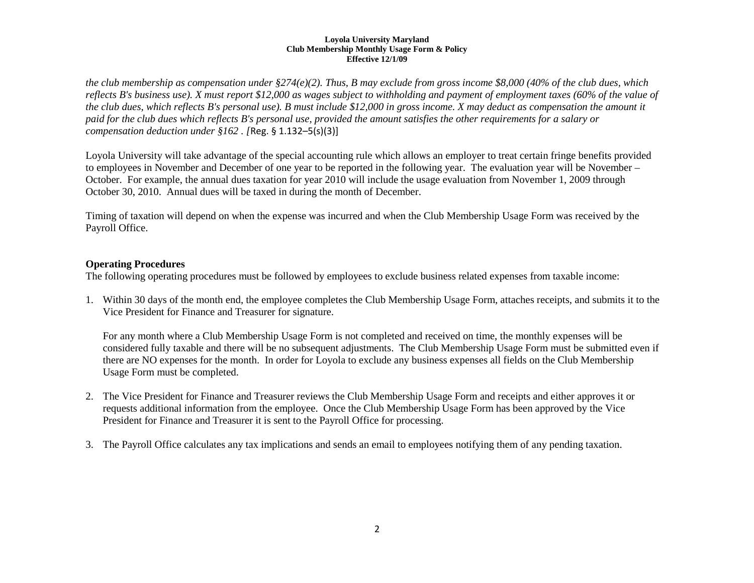#### **Loyola University Maryland Club Membership Monthly Usage Form & Policy Effective 12/1/09**

*the club membership as compensation under §274(e)(2). Thus, B may exclude from gross income \$8,000 (40% of the club dues, which reflects B's business use). X must report \$12,000 as wages subject to withholding and payment of employment taxes (60% of the value of the club dues, which reflects B's personal use). B must include \$12,000 in gross income. X may deduct as compensation the amount it paid for the club dues which reflects B's personal use, provided the amount satisfies the other requirements for a salary or compensation deduction under §162 . [*Reg. § 1.132–5(s)(3)]

Loyola University will take advantage of the special accounting rule which allows an employer to treat certain fringe benefits provided to employees in November and December of one year to be reported in the following year. The evaluation year will be November – October. For example, the annual dues taxation for year 2010 will include the usage evaluation from November 1, 2009 through October 30, 2010. Annual dues will be taxed in during the month of December.

Timing of taxation will depend on when the expense was incurred and when the Club Membership Usage Form was received by the Payroll Office.

# **Operating Procedures**

The following operating procedures must be followed by employees to exclude business related expenses from taxable income:

1. Within 30 days of the month end, the employee completes the Club Membership Usage Form, attaches receipts, and submits it to the Vice President for Finance and Treasurer for signature.

For any month where a Club Membership Usage Form is not completed and received on time, the monthly expenses will be considered fully taxable and there will be no subsequent adjustments. The Club Membership Usage Form must be submitted even if there are NO expenses for the month. In order for Loyola to exclude any business expenses all fields on the Club Membership Usage Form must be completed.

- 2. The Vice President for Finance and Treasurer reviews the Club Membership Usage Form and receipts and either approves it or requests additional information from the employee. Once the Club Membership Usage Form has been approved by the Vice President for Finance and Treasurer it is sent to the Payroll Office for processing.
- 3. The Payroll Office calculates any tax implications and sends an email to employees notifying them of any pending taxation.